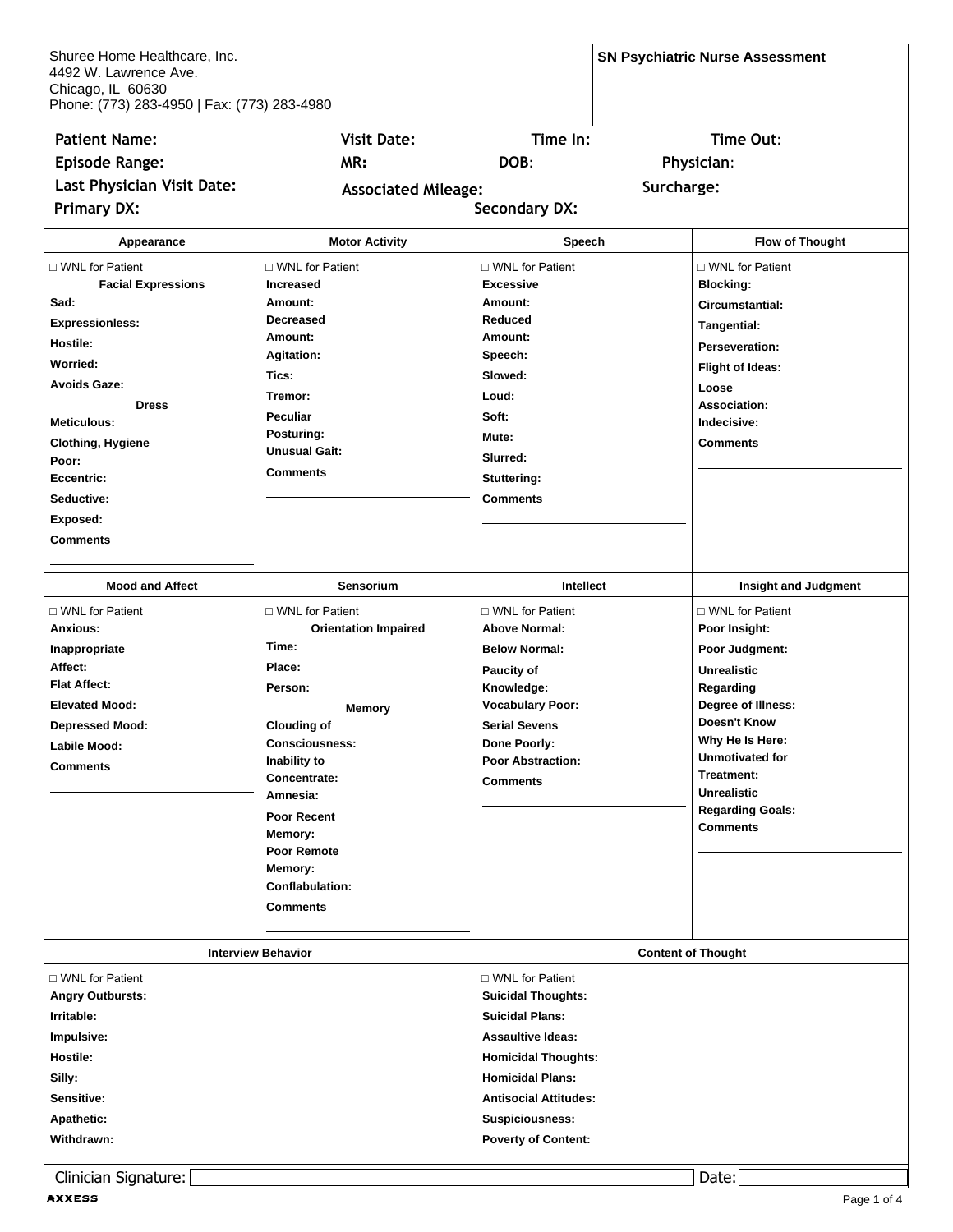| Shuree Home Healthcare, Inc.<br>4492 W. Lawrence Ave.<br>Chicago, IL 60630<br>Phone: (773) 283-4950   Fax: (773) 283-4980 |                                      |                                           |            | <b>SN Psychiatric Nurse Assessment</b> |
|---------------------------------------------------------------------------------------------------------------------------|--------------------------------------|-------------------------------------------|------------|----------------------------------------|
| <b>Patient Name:</b>                                                                                                      | <b>Visit Date:</b>                   | Time In:                                  |            | Time Out:                              |
| <b>Episode Range:</b>                                                                                                     | MR:                                  | DOB:                                      |            | Physician:                             |
| Last Physician Visit Date:                                                                                                |                                      |                                           | Surcharge: |                                        |
| <b>Primary DX:</b>                                                                                                        | <b>Associated Mileage:</b>           | <b>Secondary DX:</b>                      |            |                                        |
|                                                                                                                           |                                      |                                           |            |                                        |
| Appearance                                                                                                                | <b>Motor Activity</b>                | Speech                                    |            | <b>Flow of Thought</b>                 |
| □ WNL for Patient                                                                                                         | $\sqcap$ WNL for Patient             | $\Box$ WNL for Patient                    |            | $\Box$ WNL for Patient                 |
| <b>Facial Expressions</b>                                                                                                 | <b>Increased</b>                     | <b>Excessive</b>                          |            | <b>Blocking:</b>                       |
| Sad:                                                                                                                      | Amount:                              | Amount:                                   |            | Circumstantial:                        |
| <b>Expressionless:</b>                                                                                                    | <b>Decreased</b>                     | Reduced                                   |            | Tangential:                            |
| Hostile:                                                                                                                  | Amount:                              | Amount:                                   |            | Perseveration:                         |
| <b>Worried:</b>                                                                                                           | <b>Agitation:</b>                    | Speech:                                   |            | <b>Flight of Ideas:</b>                |
| <b>Avoids Gaze:</b>                                                                                                       | Tics:                                | Slowed:                                   |            | Loose                                  |
| <b>Dress</b>                                                                                                              | Tremor:                              | Loud:                                     |            | Association:                           |
| Meticulous:                                                                                                               | <b>Peculiar</b>                      | Soft:                                     |            | Indecisive:                            |
|                                                                                                                           | Posturing:                           | Mute:                                     |            |                                        |
| <b>Clothing, Hygiene</b><br>Poor:                                                                                         | Unusual Gait:                        | Slurred:                                  |            | <b>Comments</b>                        |
| Eccentric:                                                                                                                | <b>Comments</b>                      | Stuttering:                               |            |                                        |
|                                                                                                                           |                                      |                                           |            |                                        |
| Seductive:                                                                                                                |                                      | <b>Comments</b>                           |            |                                        |
| Exposed:                                                                                                                  |                                      |                                           |            |                                        |
| <b>Comments</b>                                                                                                           |                                      |                                           |            |                                        |
| <b>Mood and Affect</b>                                                                                                    | <b>Sensorium</b>                     | Intellect                                 |            | <b>Insight and Judgment</b>            |
|                                                                                                                           |                                      |                                           |            |                                        |
| □ WNL for Patient                                                                                                         | □ WNL for Patient                    | □ WNL for Patient<br><b>Above Normal:</b> |            | □ WNL for Patient                      |
| Anxious:                                                                                                                  | <b>Orientation Impaired</b><br>Time: |                                           |            | Poor Insight:                          |
| Inappropriate                                                                                                             |                                      | <b>Below Normal:</b>                      |            | Poor Judgment:                         |
| Affect:                                                                                                                   | Place:                               | Paucity of                                |            | <b>Unrealistic</b>                     |
| <b>Flat Affect:</b>                                                                                                       | Person:                              | Knowledge:                                |            | Regarding                              |
| <b>Elevated Mood:</b>                                                                                                     | <b>Memory</b>                        | <b>Vocabulary Poor:</b>                   |            | Degree of Illness:                     |
| <b>Depressed Mood:</b>                                                                                                    | <b>Clouding of</b>                   | <b>Serial Sevens</b>                      |            | <b>Doesn't Know</b>                    |
| Labile Mood:                                                                                                              | <b>Consciousness:</b>                | Done Poorly:                              |            | Why He Is Here:                        |
| <b>Comments</b>                                                                                                           | Inability to                         | <b>Poor Abstraction:</b>                  |            | <b>Unmotivated for</b><br>Treatment:   |
|                                                                                                                           | Concentrate:                         | <b>Comments</b>                           |            | <b>Unrealistic</b>                     |
|                                                                                                                           | Amnesia:                             |                                           |            | <b>Regarding Goals:</b>                |
|                                                                                                                           | <b>Poor Recent</b>                   |                                           |            | <b>Comments</b>                        |
|                                                                                                                           | Memory:                              |                                           |            |                                        |
|                                                                                                                           | Poor Remote                          |                                           |            |                                        |
|                                                                                                                           | Memory:                              |                                           |            |                                        |
|                                                                                                                           | <b>Conflabulation:</b>               |                                           |            |                                        |
|                                                                                                                           | <b>Comments</b>                      |                                           |            |                                        |
|                                                                                                                           | <b>Interview Behavior</b>            |                                           |            | <b>Content of Thought</b>              |
|                                                                                                                           |                                      |                                           |            |                                        |
| □ WNL for Patient                                                                                                         |                                      | $\Box$ WNL for Patient                    |            |                                        |
| <b>Angry Outbursts:</b>                                                                                                   |                                      | <b>Suicidal Thoughts:</b>                 |            |                                        |
| Irritable:                                                                                                                |                                      | <b>Suicidal Plans:</b>                    |            |                                        |
| Impulsive:                                                                                                                |                                      | <b>Assaultive Ideas:</b>                  |            |                                        |
| Hostile:                                                                                                                  |                                      | <b>Homicidal Thoughts:</b>                |            |                                        |
| Silly:                                                                                                                    |                                      | <b>Homicidal Plans:</b>                   |            |                                        |
| Sensitive:                                                                                                                |                                      | <b>Antisocial Attitudes:</b>              |            |                                        |
| <b>Apathetic:</b>                                                                                                         |                                      | <b>Suspiciousness:</b>                    |            |                                        |
| Withdrawn:                                                                                                                |                                      | <b>Poverty of Content:</b>                |            |                                        |
|                                                                                                                           |                                      |                                           |            |                                        |
| Clinician Signature:                                                                                                      |                                      |                                           |            | Date:                                  |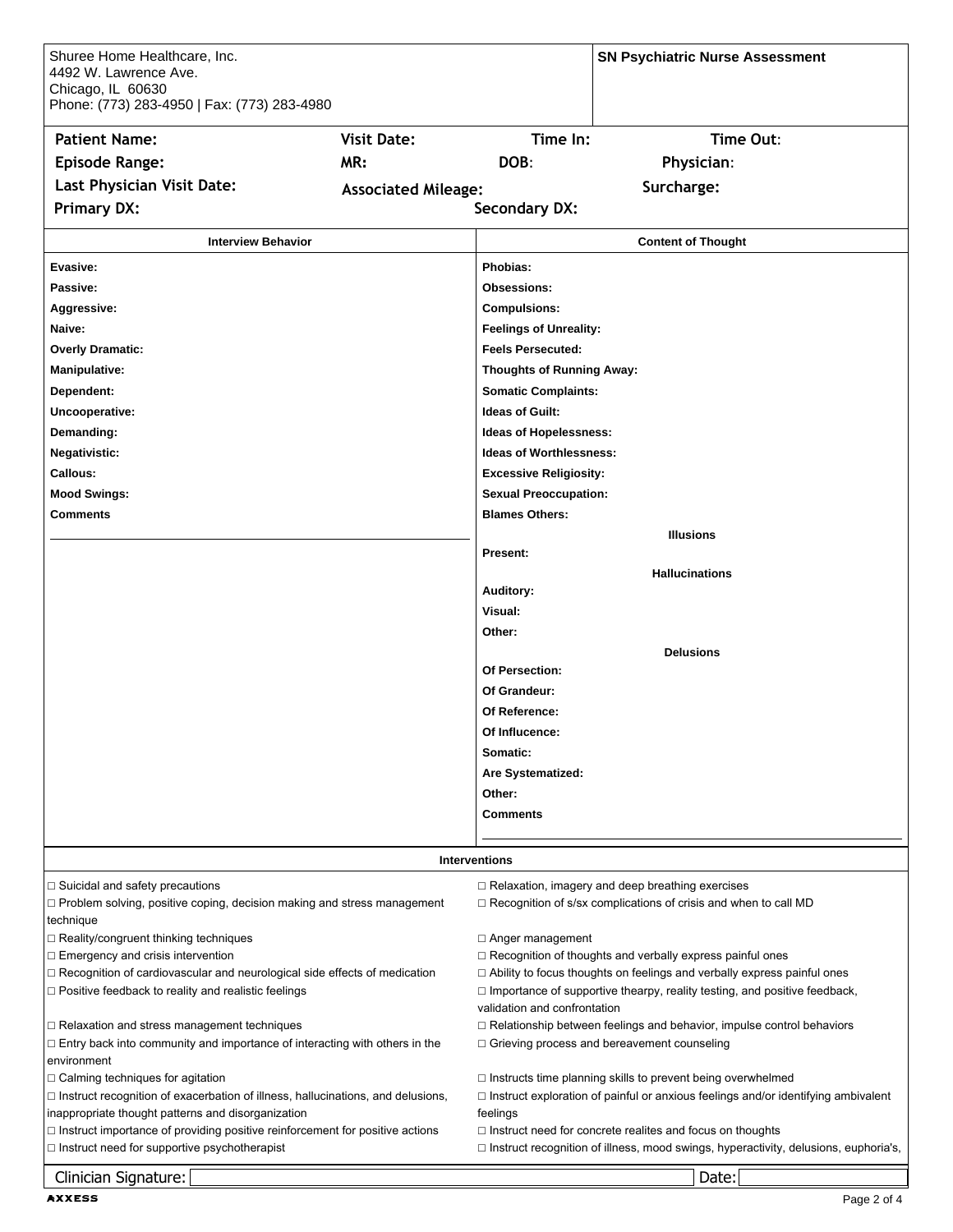| Shuree Home Healthcare, Inc.<br>4492 W. Lawrence Ave.<br>Chicago, IL 60630<br>Phone: (773) 283-4950   Fax: (773) 283-4980                      |                            |                                                                                                                                                                    | <b>SN Psychiatric Nurse Assessment</b>                                                     |  |
|------------------------------------------------------------------------------------------------------------------------------------------------|----------------------------|--------------------------------------------------------------------------------------------------------------------------------------------------------------------|--------------------------------------------------------------------------------------------|--|
| <b>Patient Name:</b>                                                                                                                           | <b>Visit Date:</b>         | Time In:                                                                                                                                                           | Time Out:                                                                                  |  |
| <b>Episode Range:</b>                                                                                                                          | MR:                        | DOB:                                                                                                                                                               | Physician:                                                                                 |  |
| Last Physician Visit Date:                                                                                                                     |                            |                                                                                                                                                                    |                                                                                            |  |
|                                                                                                                                                | <b>Associated Mileage:</b> |                                                                                                                                                                    | Surcharge:                                                                                 |  |
| <b>Primary DX:</b>                                                                                                                             |                            | <b>Secondary DX:</b>                                                                                                                                               |                                                                                            |  |
| <b>Interview Behavior</b>                                                                                                                      |                            |                                                                                                                                                                    | <b>Content of Thought</b>                                                                  |  |
| Evasive:                                                                                                                                       |                            | Phobias:                                                                                                                                                           |                                                                                            |  |
| Passive:                                                                                                                                       |                            | <b>Obsessions:</b>                                                                                                                                                 |                                                                                            |  |
| Aggressive:                                                                                                                                    |                            | <b>Compulsions:</b>                                                                                                                                                |                                                                                            |  |
| Naive:                                                                                                                                         |                            | <b>Feelings of Unreality:</b>                                                                                                                                      |                                                                                            |  |
| <b>Overly Dramatic:</b>                                                                                                                        |                            | <b>Feels Persecuted:</b>                                                                                                                                           |                                                                                            |  |
| Manipulative:                                                                                                                                  |                            | <b>Thoughts of Running Away:</b>                                                                                                                                   |                                                                                            |  |
| Dependent:                                                                                                                                     |                            | <b>Somatic Complaints:</b>                                                                                                                                         |                                                                                            |  |
| Uncooperative:                                                                                                                                 |                            | <b>Ideas of Guilt:</b>                                                                                                                                             |                                                                                            |  |
| Demanding:                                                                                                                                     |                            | <b>Ideas of Hopelessness:</b>                                                                                                                                      |                                                                                            |  |
| Negativistic:                                                                                                                                  |                            | <b>Ideas of Worthlessness:</b>                                                                                                                                     |                                                                                            |  |
| Callous:                                                                                                                                       |                            | <b>Excessive Religiosity:</b>                                                                                                                                      |                                                                                            |  |
| <b>Mood Swings:</b>                                                                                                                            |                            | <b>Sexual Preoccupation:</b>                                                                                                                                       |                                                                                            |  |
| Comments                                                                                                                                       |                            | <b>Blames Others:</b>                                                                                                                                              |                                                                                            |  |
|                                                                                                                                                |                            |                                                                                                                                                                    | <b>Illusions</b>                                                                           |  |
|                                                                                                                                                |                            | Present:                                                                                                                                                           |                                                                                            |  |
|                                                                                                                                                |                            |                                                                                                                                                                    | <b>Hallucinations</b>                                                                      |  |
|                                                                                                                                                |                            | Auditory:                                                                                                                                                          |                                                                                            |  |
|                                                                                                                                                |                            | Visual:                                                                                                                                                            |                                                                                            |  |
|                                                                                                                                                |                            | Other:                                                                                                                                                             |                                                                                            |  |
|                                                                                                                                                |                            | Of Persection:                                                                                                                                                     | <b>Delusions</b>                                                                           |  |
|                                                                                                                                                |                            | Of Grandeur:                                                                                                                                                       |                                                                                            |  |
|                                                                                                                                                |                            | Of Reference:                                                                                                                                                      |                                                                                            |  |
|                                                                                                                                                |                            | Of Influcence:                                                                                                                                                     |                                                                                            |  |
|                                                                                                                                                |                            | Somatic:                                                                                                                                                           |                                                                                            |  |
|                                                                                                                                                |                            | Are Systematized:                                                                                                                                                  |                                                                                            |  |
|                                                                                                                                                |                            | Other:                                                                                                                                                             |                                                                                            |  |
|                                                                                                                                                |                            | <b>Comments</b>                                                                                                                                                    |                                                                                            |  |
|                                                                                                                                                |                            |                                                                                                                                                                    |                                                                                            |  |
|                                                                                                                                                |                            | <b>Interventions</b>                                                                                                                                               |                                                                                            |  |
| $\Box$ Suicidal and safety precautions                                                                                                         |                            |                                                                                                                                                                    | $\Box$ Relaxation, imagery and deep breathing exercises                                    |  |
| $\Box$ Problem solving, positive coping, decision making and stress management                                                                 |                            |                                                                                                                                                                    | $\Box$ Recognition of s/sx complications of crisis and when to call MD                     |  |
| technique                                                                                                                                      |                            |                                                                                                                                                                    |                                                                                            |  |
| $\Box$ Reality/congruent thinking techniques                                                                                                   |                            | $\Box$ Anger management                                                                                                                                            |                                                                                            |  |
| $\Box$ Emergency and crisis intervention                                                                                                       |                            | □ Recognition of thoughts and verbally express painful ones                                                                                                        |                                                                                            |  |
| $\Box$ Recognition of cardiovascular and neurological side effects of medication<br>$\Box$ Positive feedback to reality and realistic feelings |                            | $\Box$ Ability to focus thoughts on feelings and verbally express painful ones<br>$\Box$ Importance of supportive thearpy, reality testing, and positive feedback, |                                                                                            |  |
|                                                                                                                                                |                            | validation and confrontation                                                                                                                                       |                                                                                            |  |
| □ Relaxation and stress management techniques                                                                                                  |                            |                                                                                                                                                                    | $\Box$ Relationship between feelings and behavior, impulse control behaviors               |  |
| $\Box$ Entry back into community and importance of interacting with others in the                                                              |                            |                                                                                                                                                                    | $\Box$ Grieving process and bereavement counseling                                         |  |
| environment                                                                                                                                    |                            |                                                                                                                                                                    |                                                                                            |  |
| $\Box$ Calming techniques for agitation                                                                                                        |                            |                                                                                                                                                                    | $\Box$ Instructs time planning skills to prevent being overwhelmed                         |  |
| $\Box$ Instruct recognition of exacerbation of illness, hallucinations, and delusions,<br>inappropriate thought patterns and disorganization   |                            | feelings                                                                                                                                                           | $\Box$ Instruct exploration of painful or anxious feelings and/or identifying ambivalent   |  |
| $\Box$ Instruct importance of providing positive reinforcement for positive actions                                                            |                            |                                                                                                                                                                    | $\Box$ Instruct need for concrete realites and focus on thoughts                           |  |
| $\Box$ Instruct need for supportive psychotherapist                                                                                            |                            |                                                                                                                                                                    | $\Box$ Instruct recognition of illness, mood swings, hyperactivity, delusions, euphoria's, |  |
| Clinician Signature:                                                                                                                           |                            |                                                                                                                                                                    | Date:                                                                                      |  |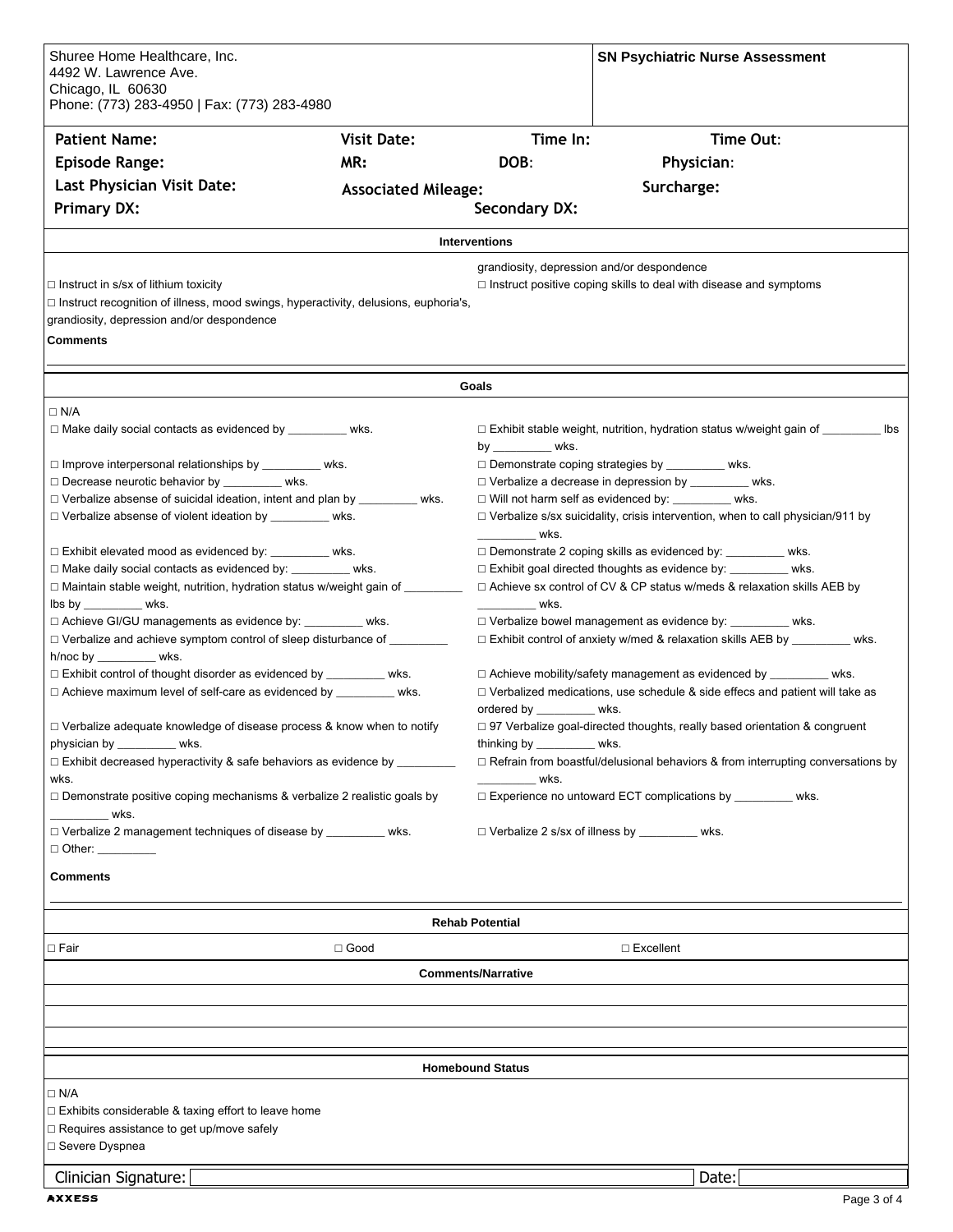| Shuree Home Healthcare, Inc.                                                                                                 |                            |                                                              | <b>SN Psychiatric Nurse Assessment</b>                                                                                |  |
|------------------------------------------------------------------------------------------------------------------------------|----------------------------|--------------------------------------------------------------|-----------------------------------------------------------------------------------------------------------------------|--|
| 4492 W. Lawrence Ave.                                                                                                        |                            |                                                              |                                                                                                                       |  |
| Chicago, IL 60630<br>Phone: (773) 283-4950   Fax: (773) 283-4980                                                             |                            |                                                              |                                                                                                                       |  |
|                                                                                                                              |                            |                                                              |                                                                                                                       |  |
| <b>Patient Name:</b>                                                                                                         | <b>Visit Date:</b>         | Time In:                                                     | Time Out:                                                                                                             |  |
| <b>Episode Range:</b>                                                                                                        | MR:                        | DOB:                                                         | Physician:                                                                                                            |  |
| Last Physician Visit Date:                                                                                                   | <b>Associated Mileage:</b> |                                                              | Surcharge:                                                                                                            |  |
| <b>Primary DX:</b>                                                                                                           |                            | <b>Secondary DX:</b>                                         |                                                                                                                       |  |
|                                                                                                                              |                            | <b>Interventions</b>                                         |                                                                                                                       |  |
|                                                                                                                              |                            | grandiosity, depression and/or despondence                   |                                                                                                                       |  |
| $\Box$ Instruct in s/sx of lithium toxicity                                                                                  |                            |                                                              | $\Box$ Instruct positive coping skills to deal with disease and symptoms                                              |  |
| $\Box$ Instruct recognition of illness, mood swings, hyperactivity, delusions, euphoria's,                                   |                            |                                                              |                                                                                                                       |  |
| grandiosity, depression and/or despondence                                                                                   |                            |                                                              |                                                                                                                       |  |
| <b>Comments</b>                                                                                                              |                            |                                                              |                                                                                                                       |  |
|                                                                                                                              |                            |                                                              |                                                                                                                       |  |
|                                                                                                                              |                            | Goals                                                        |                                                                                                                       |  |
| $\Box$ N/A                                                                                                                   |                            |                                                              |                                                                                                                       |  |
| $\Box$ Make daily social contacts as evidenced by _________ wks.                                                             |                            |                                                              | $\Box$ Exhibit stable weight, nutrition, hydration status w/weight gain of _________ lbs                              |  |
|                                                                                                                              |                            | by _____________ wks.                                        |                                                                                                                       |  |
| □ Improve interpersonal relationships by __________ wks.<br>Decrease neurotic behavior by ________ wks.                      |                            |                                                              | $\Box$ Demonstrate coping strategies by ____________ wks.<br>□ Verbalize a decrease in depression by ___________ wks. |  |
| $\Box$ Verbalize absense of suicidal ideation, intent and plan by ___________ wks.                                           |                            |                                                              | □ Will not harm self as evidenced by: _________ wks.                                                                  |  |
| □ Verbalize absense of violent ideation by _________ wks.                                                                    |                            |                                                              | $\Box$ Verbalize s/sx suicidality, crisis intervention, when to call physician/911 by                                 |  |
|                                                                                                                              |                            | <u>wks.</u>                                                  |                                                                                                                       |  |
| □ Exhibit elevated mood as evidenced by: _________ wks.                                                                      |                            |                                                              | □ Demonstrate 2 coping skills as evidenced by: _________ wks.                                                         |  |
| □ Make daily social contacts as evidenced by: _________ wks.                                                                 |                            |                                                              | □ Exhibit goal directed thoughts as evidence by: __________ wks.                                                      |  |
| □ Maintain stable weight, nutrition, hydration status w/weight gain of ________                                              |                            |                                                              | $\Box$ Achieve sx control of CV & CP status w/meds & relaxation skills AEB by                                         |  |
| $\mathsf{libs}\mathsf{ by } \_\_\_\_\_\_\$ wks.<br><u>wks.</u><br>□ Achieve GI/GU managements as evidence by: _________ wks. |                            |                                                              | □ Verbalize bowel management as evidence by: __________ wks.                                                          |  |
| □ Verbalize and achieve symptom control of sleep disturbance of _________                                                    |                            |                                                              | □ Exhibit control of anxiety w/med & relaxation skills AEB by _________ wks.                                          |  |
| h/noc by __________ wks.                                                                                                     |                            |                                                              |                                                                                                                       |  |
| □ Exhibit control of thought disorder as evidenced by __________ wks.                                                        |                            |                                                              | $\Box$ Achieve mobility/safety management as evidenced by __________ wks.                                             |  |
| □ Achieve maximum level of self-care as evidenced by _________ wks.                                                          |                            |                                                              | $\Box$ Verbalized medications, use schedule & side effecs and patient will take as                                    |  |
|                                                                                                                              |                            | ordered by _____________ wks.                                |                                                                                                                       |  |
| □ Verbalize adequate knowledge of disease process & know when to notify                                                      |                            |                                                              | □ 97 Verbalize goal-directed thoughts, really based orientation & congruent<br>thinking by ___________ wks.           |  |
| physician by __________ wks.<br>□ Exhibit decreased hyperactivity & safe behaviors as evidence by _________                  |                            |                                                              | $\Box$ Refrain from boastful/delusional behaviors & from interrupting conversations by                                |  |
| wks.                                                                                                                         |                            | wks.                                                         |                                                                                                                       |  |
| $\Box$ Demonstrate positive coping mechanisms & verbalize 2 realistic goals by                                               |                            | □ Experience no untoward ECT complications by _________ wks. |                                                                                                                       |  |
| wks.                                                                                                                         |                            |                                                              |                                                                                                                       |  |
| □ Verbalize 2 management techniques of disease by __________ wks.<br>$\Box$ Other: _________                                 |                            |                                                              | □ Verbalize 2 s/sx of illness by __________ wks.                                                                      |  |
|                                                                                                                              |                            |                                                              |                                                                                                                       |  |
| Comments                                                                                                                     |                            |                                                              |                                                                                                                       |  |
|                                                                                                                              |                            | <b>Rehab Potential</b>                                       |                                                                                                                       |  |
| $\square$ Fair                                                                                                               | $\Box$ Good                |                                                              | $\Box$ Excellent                                                                                                      |  |
|                                                                                                                              |                            |                                                              |                                                                                                                       |  |
|                                                                                                                              |                            | <b>Comments/Narrative</b>                                    |                                                                                                                       |  |
|                                                                                                                              |                            |                                                              |                                                                                                                       |  |
|                                                                                                                              |                            |                                                              |                                                                                                                       |  |
|                                                                                                                              |                            |                                                              |                                                                                                                       |  |
|                                                                                                                              |                            | <b>Homebound Status</b>                                      |                                                                                                                       |  |
| $\Box$ N/A                                                                                                                   |                            |                                                              |                                                                                                                       |  |
| $\Box$ Exhibits considerable & taxing effort to leave home<br>□ Requires assistance to get up/move safely                    |                            |                                                              |                                                                                                                       |  |
| □ Severe Dyspnea                                                                                                             |                            |                                                              |                                                                                                                       |  |
|                                                                                                                              |                            |                                                              |                                                                                                                       |  |
| Clinician Signature:                                                                                                         |                            |                                                              | Date:                                                                                                                 |  |